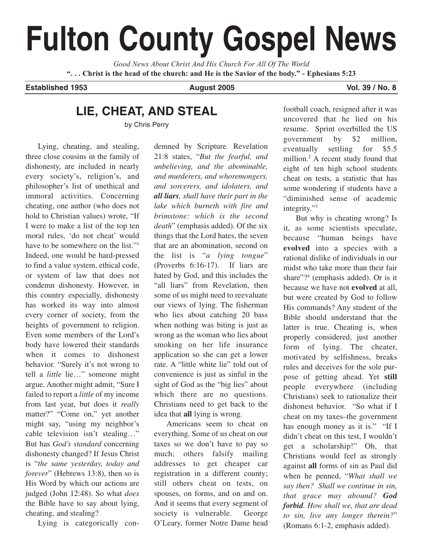# **Fulton County Gospel News**

*Good News About Christ And His Church For All Of The World* **". . . Christ is the head of the church: and He is the Savior of the body." - Ephesians 5:23**

**Established 1953 August 2005 Vol. 39 / No. 8**

# **LIE, CHEAT, AND STEAL**

by Chris Perry

Lying, cheating, and stealing, three close cousins in the family of dishonesty, are included in nearly every society's, religion's, and philosopher's list of unethical and immoral activities. Concerning cheating, one author (who does not hold to Christian values) wrote, "If I were to make a list of the top ten moral rules, 'do not cheat' would have to be somewhere on the list."1 Indeed, one would be hard-pressed to find a value system, ethical code, or system of law that does not condemn dishonesty. However, in this country especially, dishonesty has worked its way into almost every corner of society, from the heights of government to religion. Even some members of the Lord's body have lowered their standards when it comes to dishonest behavior. "Surely it's not wrong to tell a *little* lie…" someone might argue. Another might admit, "Sure I failed to report a *little* of my income from last year, but does it *really* matter?" "Come on," yet another might say, "using my neighbor's cable television isn't stealing…" But has *God's standard* concerning dishonesty changed? If Jesus Christ is "*the same yesterday, today and forever*" (Hebrews 13:8), then so is His Word by which our actions are judged (John 12:48). So what *does* the Bible have to say about lying, cheating, and stealing?

Lying is categorically con-

demned by Scripture. Revelation 21:8 states, "*But the fearful, and unbelieving, and the abominable, and murderers, and whoremongers, and sorcerers, and idolaters, and all liars, shall have their part in the lake which burneth with fire and brimstone: which is the second death*" (emphasis added). Of the six things that the Lord hates, the seven that are an abomination, second on the list is "*a lying tongue*" (Proverbs 6:16-17). If liars are hated by God, and this includes the "all liars" from Revelation, then some of us might need to reevaluate our views of lying. The fisherman who lies about catching 20 bass when nothing was biting is just as wrong as the woman who lies about smoking on her life insurance application so she can get a lower rate. A "little white lie" told out of convenience is just as sinful in the sight of God as the "big lies" about which there are no questions. Christians need to get back to the idea that **all** lying is wrong.

Americans seem to cheat on everything. Some of us cheat on our taxes so we don't have to pay so much; others falsify mailing addresses to get cheaper car registration in a different county; still others cheat on tests, on spouses, on forms, and on and on. And it seems that every segment of society is vulnerable. George O'Leary, former Notre Dame head football coach, resigned after it was uncovered that he lied on his resume. Sprint overbilled the US government by \$2 million, eventually settling for \$5.5 million.2 A recent study found that eight of ten high school students cheat on tests, a statistic that has some wondering if students have a "diminished sense of academic integrity."3

But why is cheating wrong? Is it, as some scientists speculate, because "human beings have **evolved** into a species with a rational dislike of individuals in our midst who take more than their fair share"?<sup>4</sup> (emphasis added). Or is it because we have not **evolved** at all, but were created by God to follow His commands? Any student of the Bible should understand that the latter is true. Cheating is, when properly considered, just another form of lying. The cheater, motivated by selfishness, breaks rules and deceives for the sole purpose of getting ahead. Yet **still** people everywhere (including Christians) seek to rationalize their dishonest behavior. "So what if I cheat on my taxes–the government has enough money as it is." "If I didn't cheat on this test, I wouldn't get a scholarship!" Oh, that Christians would feel as strongly against **all** forms of sin as Paul did when he penned, "*What shall we say then? Shall we continue in sin, that grace may abound? God forbid. How shall we, that are dead to sin, live any longer therein?*" (Romans 6:1-2, emphasis added).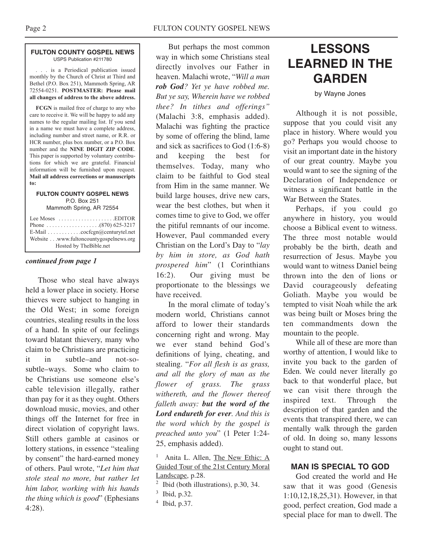#### **FULTON COUNTY GOSPEL NEWS** USPS Publication #211780

. . . is a Periodical publication issued monthly by the Church of Christ at Third and Bethel (P.O. Box 251), Mammoth Spring, AR 72554-0251. **POSTMASTER: Please mail all changes of address to the above address.**

**FCGN** is mailed free of charge to any who care to receive it. We will be happy to add any names to the regular mailing list. If you send in a name we must have a complete address, including number and street name, or R.R. or HCR number, plus box number, or a P.O. Box number and the **NINE DIGIT ZIP CODE**. This paper is supported by voluntary contributions for which we are grateful. Financial information will be furnished upon request. **Mail all address corrections or manuscripts to:**

#### **FULTON COUNTY GOSPEL NEWS** P.O. Box 251

Mammoth Spring, AR 72554

| Lee Moses $\dots \dots \dots \dots \dots$ . EDITOR          |
|-------------------------------------------------------------|
|                                                             |
| E-Mail $\ldots \ldots \ldots \ldots$ cocfcgn@centurytel.net |
| Website www.fultoncountygospelnews.org                      |
| Hosted by TheBible.net                                      |

#### *continued from page 1*

Those who steal have always held a lower place in society. Horse thieves were subject to hanging in the Old West; in some foreign countries, stealing results in the loss of a hand. In spite of our feelings toward blatant thievery, many who claim to be Christians are practicing it in subtle–and not-sosubtle–ways. Some who claim to be Christians use someone else's cable television illegally, rather than pay for it as they ought. Others download music, movies, and other things off the Internet for free in direct violation of copyright laws. Still others gamble at casinos or lottery stations, in essence "stealing by consent" the hard-earned money of others. Paul wrote, "*Let him that stole steal no more, but rather let him labor, working with his hands the thing which is good*" (Ephesians 4:28).

But perhaps the most common way in which some Christians steal directly involves our Father in heaven. Malachi wrote, "*Will a man rob God? Yet ye have robbed me. But ye say, Wherein have we robbed thee? In tithes and offerings"* (Malachi 3:8, emphasis added). Malachi was fighting the practice by some of offering the blind, lame and sick as sacrifices to God (1:6-8) and keeping the best for themselves. Today, many who claim to be faithful to God steal from Him in the same manner. We build large houses, drive new cars, wear the best clothes, but when it comes time to give to God, we offer the pitiful remnants of our income. However, Paul commanded every Christian on the Lord's Day to "*lay by him in store, as God hath prospered him*" (1 Corinthians 16:2). Our giving must be proportionate to the blessings we have received.

In the moral climate of today's modern world, Christians cannot afford to lower their standards concerning right and wrong. May we ever stand behind God's definitions of lying, cheating, and stealing. "*For all flesh is as grass, and all the glory of man as the flower of grass. The grass withereth, and the flower thereof falleth away: but the word of the Lord endureth for ever. And this is the word which by the gospel is preached unto you*" (1 Peter 1:24- 25, emphasis added).

<sup>1</sup> Anita L. Allen, The New Ethic: A Guided Tour of the 21st Century Moral Landscape, p.28.

# **LESSONS LEARNED IN THE GARDEN**

by Wayne Jones

Although it is not possible, suppose that you could visit any place in history. Where would you go? Perhaps you would choose to visit an important date in the history of our great country. Maybe you would want to see the signing of the Declaration of Independence or witness a significant battle in the War Between the States.

Perhaps, if you could go anywhere in history, you would choose a Biblical event to witness. The three most notable would probably be the birth, death and resurrection of Jesus. Maybe you would want to witness Daniel being thrown into the den of lions or David courageously defeating Goliath. Maybe you would be tempted to visit Noah while the ark was being built or Moses bring the ten commandments down the mountain to the people.

While all of these are more than worthy of attention, I would like to invite you back to the garden of Eden. We could never literally go back to that wonderful place, but we can visit there through the inspired text. Through the description of that garden and the events that transpired there, we can mentally walk through the garden of old. In doing so, many lessons ought to stand out.

# **MAN IS SPECIAL TO GOD**

God created the world and He saw that it was good (Genesis 1:10,12,18,25,31). However, in that good, perfect creation, God made a special place for man to dwell. The

 $<sup>2</sup>$  Ibid (both illustrations), p.30, 34.</sup>

<sup>3</sup> Ibid, p.32.

<sup>4</sup> Ibid, p.37.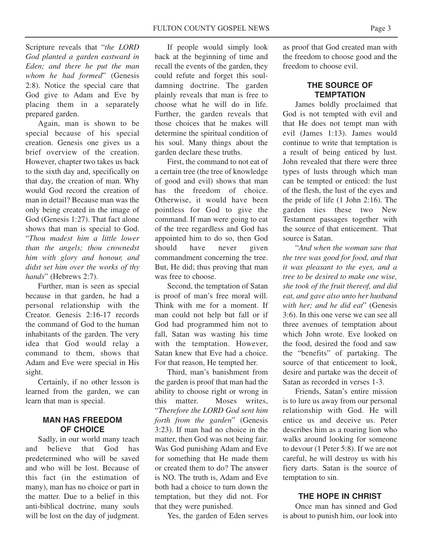Scripture reveals that "*the LORD God planted a garden eastward in Eden; and there he put the man whom he had formed*" (Genesis 2:8). Notice the special care that God give to Adam and Eve by placing them in a separately prepared garden.

Again, man is shown to be special because of his special creation. Genesis one gives us a brief overview of the creation. However, chapter two takes us back to the sixth day and, specifically on that day, the creation of man. Why would God record the creation of man in detail? Because man was the only being created in the image of God (Genesis 1:27). That fact alone shows that man is special to God. "*Thou madest him a little lower than the angels; thou crownedst him with glory and honour, and didst set him over the works of thy hands*" (Hebrews 2:7).

Further, man is seen as special because in that garden, he had a personal relationship with the Creator. Genesis 2:16-17 records the command of God to the human inhabitants of the garden. The very idea that God would relay a command to them, shows that Adam and Eve were special in His sight.

Certainly, if no other lesson is learned from the garden, we can learn that man is special.

## **MAN HAS FREEDOM OF CHOICE**

Sadly, in our world many teach and believe that God has predetermined who will be saved and who will be lost. Because of this fact (in the estimation of many), man has no choice or part in the matter. Due to a belief in this anti-biblical doctrine, many souls will be lost on the day of judgment.

If people would simply look back at the beginning of time and recall the events of the garden, they could refute and forget this souldamning doctrine. The garden plainly reveals that man is free to choose what he will do in life. Further, the garden reveals that those choices that he makes will determine the spiritual condition of his soul. Many things about the garden declare these truths.

First, the command to not eat of a certain tree (the tree of knowledge of good and evil) shows that man has the freedom of choice. Otherwise, it would have been pointless for God to give the command. If man were going to eat of the tree regardless and God has appointed him to do so, then God should have never given commandment concerning the tree. But, He did; thus proving that man was free to choose.

Second, the temptation of Satan is proof of man's free moral will. Think with me for a moment. If man could not help but fall or if God had programmed him not to fall, Satan was wasting his time with the temptation. However, Satan knew that Eve had a choice. For that reason, He tempted her.

Third, man's banishment from the garden is proof that man had the ability to choose right or wrong in this matter. Moses writes, "*Therefore the LORD God sent him forth from the garden*" (Genesis 3:23). If man had no choice in the matter, then God was not being fair. Was God punishing Adam and Eve for something that He made them or created them to do? The answer is NO. The truth is, Adam and Eve both had a choice to turn down the temptation, but they did not. For that they were punished.

Yes, the garden of Eden serves

as proof that God created man with the freedom to choose good and the freedom to choose evil.

# **THE SOURCE OF TEMPTATION**

James boldly proclaimed that God is not tempted with evil and that He does not tempt man with evil (James 1:13). James would continue to write that temptation is a result of being enticed by lust. John revealed that there were three types of lusts through which man can be tempted or enticed: the lust of the flesh, the lust of the eyes and the pride of life (1 John 2:16). The garden ties these two New Testament passages together with the source of that enticement. That source is Satan.

"*And when the woman saw that the tree was good for food, and that it was pleasant to the eyes, and a tree to be desired to make one wise, she took of the fruit thereof, and did eat, and gave also unto her husband with her; and he did eat*" (Genesis 3:6). In this one verse we can see all three avenues of temptation about which John wrote. Eve looked on the food, desired the food and saw the "benefits" of partaking. The source of that enticement to look, desire and partake was the deceit of Satan as recorded in verses 1-3.

Friends, Satan's entire mission is to lure us away from our personal relationship with God. He will entice us and deceive us. Peter describes him as a roaring lion who walks around looking for someone to devour (1 Peter 5:8). If we are not careful, he will destroy us with his fiery darts. Satan is the source of temptation to sin.

### **THE HOPE IN CHRIST**

Once man has sinned and God is about to punish him, our look into